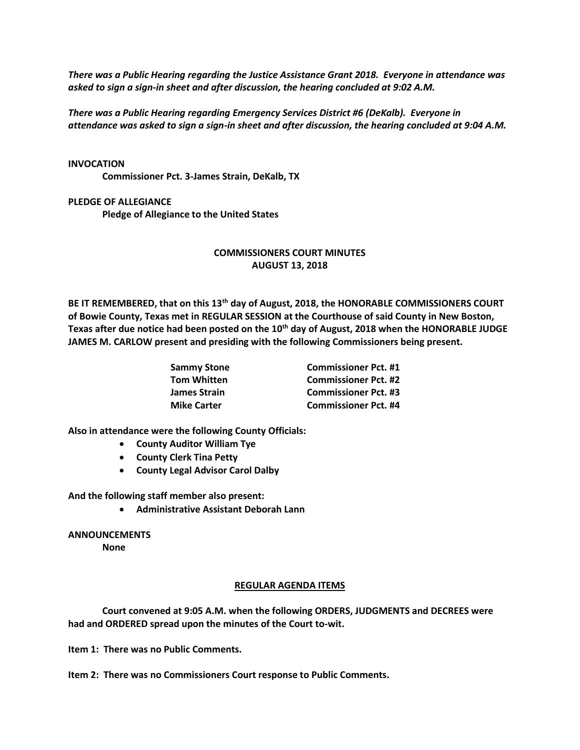*There was a Public Hearing regarding the Justice Assistance Grant 2018. Everyone in attendance was asked to sign a sign-in sheet and after discussion, the hearing concluded at 9:02 A.M.*

*There was a Public Hearing regarding Emergency Services District #6 (DeKalb). Everyone in attendance was asked to sign a sign-in sheet and after discussion, the hearing concluded at 9:04 A.M.*

## **INVOCATION**

**Commissioner Pct. 3-James Strain, DeKalb, TX**

**PLEDGE OF ALLEGIANCE** 

**Pledge of Allegiance to the United States**

## **COMMISSIONERS COURT MINUTES AUGUST 13, 2018**

**BE IT REMEMBERED, that on this 13th day of August, 2018, the HONORABLE COMMISSIONERS COURT of Bowie County, Texas met in REGULAR SESSION at the Courthouse of said County in New Boston, Texas after due notice had been posted on the 10th day of August, 2018 when the HONORABLE JUDGE JAMES M. CARLOW present and presiding with the following Commissioners being present.**

| <b>Commissioner Pct. #1</b> |
|-----------------------------|
| <b>Commissioner Pct. #2</b> |
| <b>Commissioner Pct. #3</b> |
| <b>Commissioner Pct. #4</b> |
|                             |

**Also in attendance were the following County Officials:**

- **County Auditor William Tye**
- **County Clerk Tina Petty**
- **County Legal Advisor Carol Dalby**

**And the following staff member also present:**

• **Administrative Assistant Deborah Lann**

**ANNOUNCEMENTS**

**None**

## **REGULAR AGENDA ITEMS**

**Court convened at 9:05 A.M. when the following ORDERS, JUDGMENTS and DECREES were had and ORDERED spread upon the minutes of the Court to-wit.**

**Item 1: There was no Public Comments.**

**Item 2: There was no Commissioners Court response to Public Comments.**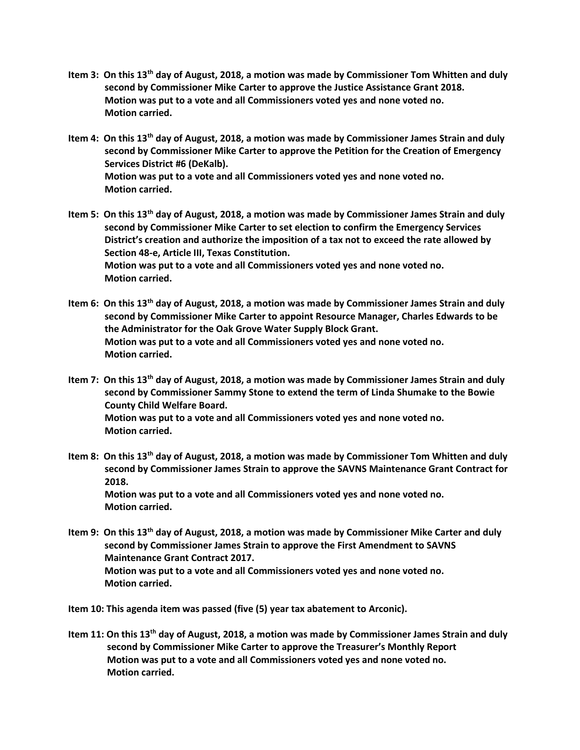- **Item 3: On this 13th day of August, 2018, a motion was made by Commissioner Tom Whitten and duly second by Commissioner Mike Carter to approve the Justice Assistance Grant 2018. Motion was put to a vote and all Commissioners voted yes and none voted no. Motion carried.**
- **Item 4: On this 13th day of August, 2018, a motion was made by Commissioner James Strain and duly second by Commissioner Mike Carter to approve the Petition for the Creation of Emergency Services District #6 (DeKalb). Motion was put to a vote and all Commissioners voted yes and none voted no. Motion carried.**
- **Item 5: On this 13th day of August, 2018, a motion was made by Commissioner James Strain and duly second by Commissioner Mike Carter to set election to confirm the Emergency Services District's creation and authorize the imposition of a tax not to exceed the rate allowed by Section 48-e, Article III, Texas Constitution. Motion was put to a vote and all Commissioners voted yes and none voted no. Motion carried.**
- **Item 6: On this 13th day of August, 2018, a motion was made by Commissioner James Strain and duly second by Commissioner Mike Carter to appoint Resource Manager, Charles Edwards to be the Administrator for the Oak Grove Water Supply Block Grant. Motion was put to a vote and all Commissioners voted yes and none voted no. Motion carried.**
- **Item 7: On this 13th day of August, 2018, a motion was made by Commissioner James Strain and duly second by Commissioner Sammy Stone to extend the term of Linda Shumake to the Bowie County Child Welfare Board. Motion was put to a vote and all Commissioners voted yes and none voted no. Motion carried.**
- **Item 8: On this 13th day of August, 2018, a motion was made by Commissioner Tom Whitten and duly second by Commissioner James Strain to approve the SAVNS Maintenance Grant Contract for 2018. Motion was put to a vote and all Commissioners voted yes and none voted no. Motion carried.**
- **Item 9: On this 13th day of August, 2018, a motion was made by Commissioner Mike Carter and duly second by Commissioner James Strain to approve the First Amendment to SAVNS Maintenance Grant Contract 2017. Motion was put to a vote and all Commissioners voted yes and none voted no. Motion carried.**

**Item 10: This agenda item was passed (five (5) year tax abatement to Arconic).** 

**Item 11: On this 13th day of August, 2018, a motion was made by Commissioner James Strain and duly second by Commissioner Mike Carter to approve the Treasurer's Monthly Report Motion was put to a vote and all Commissioners voted yes and none voted no. Motion carried.**